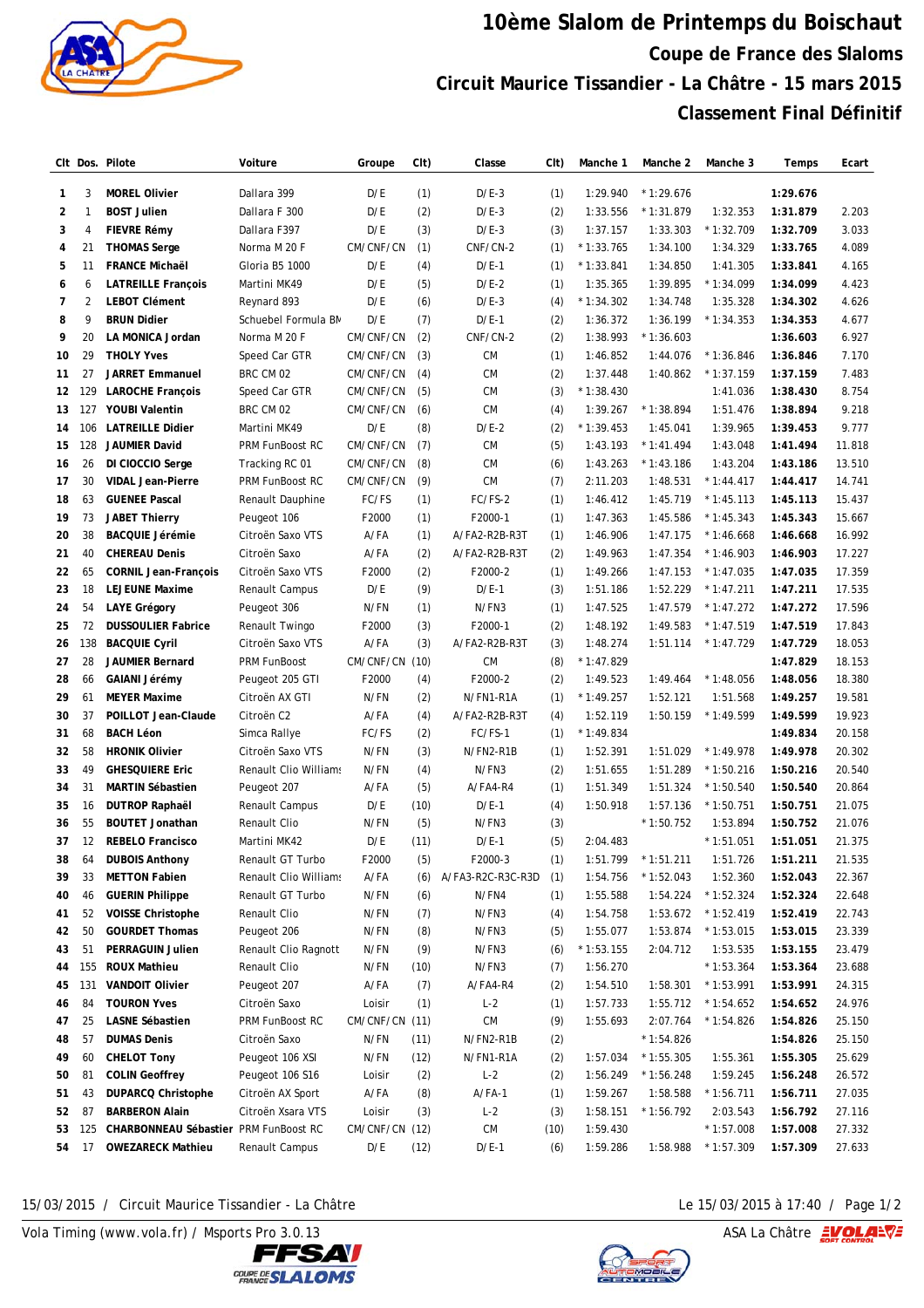

## **10ème Slalom de Printemps du Boischaut Coupe de France des Slaloms Circuit Maurice Tissandier - La Châtre - 15 mars 2015 Classement Final Définitif**

|                |                | CIt Dos. Pilote                       | Voiture                | Groupe    | CIt) | Classe            | CIt) | Manche 1    | Manche 2    | Manche 3    | Temps    | Ecart  |
|----------------|----------------|---------------------------------------|------------------------|-----------|------|-------------------|------|-------------|-------------|-------------|----------|--------|
| 1              | 3              | <b>MOREL Olivier</b>                  | Dallara 399            | D/E       | (1)  | $D/E-3$           | (1)  | 1:29.940    | $*1:29.676$ |             | 1:29.676 |        |
| $\overline{2}$ | $\mathbf{1}$   | <b>BOST Julien</b>                    | Dallara F 300          | D/E       | (2)  | $D/E-3$           | (2)  | 1:33.556    | $*1:31.879$ | 1:32.353    | 1:31.879 | 2.203  |
| 3              | 4              | <b>FIEVRE Rémy</b>                    | Dallara F397           | D/E       | (3)  | $D/E-3$           | (3)  | 1:37.157    | 1:33.303    | $*1:32.709$ | 1:32.709 | 3.033  |
| 4              | 21             | <b>THOMAS Serge</b>                   | Norma M 20 F           | CM/CNF/CN | (1)  | CNF/CN-2          | (1)  | $*1:33.765$ | 1:34.100    | 1:34.329    | 1:33.765 | 4.089  |
| 5              | 11             | <b>FRANCE Michaël</b>                 | Gloria B5 1000         | D/E       | (4)  | $D/E-1$           | (1)  | $*1:33.841$ | 1:34.850    | 1:41.305    | 1:33.841 | 4.165  |
| 6              | 6              | <b>LATREILLE François</b>             | Martini MK49           | D/E       | (5)  | $D/E-2$           | (1)  | 1:35.365    | 1:39.895    | $*1:34.099$ | 1:34.099 | 4.423  |
| 7              | $\overline{2}$ | <b>LEBOT Clément</b>                  | Reynard 893            | D/E       | (6)  | $D/E-3$           | (4)  | $*1:34.302$ | 1:34.748    | 1:35.328    | 1:34.302 | 4.626  |
| 8              | 9              | <b>BRUN Didier</b>                    | Schuebel Formula BN    | D/E       | (7)  | $D/E-1$           | (2)  | 1:36.372    | 1:36.199    | $*1:34.353$ | 1:34.353 | 4.677  |
| 9              | 20             | LA MONICA Jordan                      | Norma M 20 F           | CM/CNF/CN | (2)  | CNF/CN-2          | (2)  | 1:38.993    | $*1:36.603$ |             | 1:36.603 | 6.927  |
| 10             | 29             | <b>THOLY Yves</b>                     | Speed Car GTR          | CM/CNF/CN | (3)  | <b>CM</b>         | (1)  | 1:46.852    | 1:44.076    | $*1:36.846$ | 1:36.846 | 7.170  |
| 11             | 27             | <b>JARRET Emmanuel</b>                | BRC CM 02              | CM/CNF/CN | (4)  | <b>CM</b>         | (2)  | 1:37.448    | 1:40.862    | $*1:37.159$ | 1:37.159 | 7.483  |
| 12             | 129            | <b>LAROCHE François</b>               | Speed Car GTR          | CM/CNF/CN | (5)  | <b>CM</b>         | (3)  | $*1:38.430$ |             | 1:41.036    | 1:38.430 | 8.754  |
| 13             | 127            | <b>YOUBI Valentin</b>                 | BRC CM 02              | CM/CNF/CN | (6)  | <b>CM</b>         | (4)  | 1:39.267    | $*1:38.894$ | 1:51.476    | 1:38.894 | 9.218  |
| 14             | 106            | <b>LATREILLE Didier</b>               | Martini MK49           | D/E       | (8)  | $D/E-2$           | (2)  | $*1:39.453$ | 1:45.041    | 1:39.965    | 1:39.453 | 9.777  |
| 15             | 128            | JAUMIER David                         | <b>PRM FunBoost RC</b> | CM/CNF/CN | (7)  | <b>CM</b>         | (5)  | 1:43.193    | $*1:41.494$ | 1:43.048    | 1:41.494 | 11.818 |
| 16             | 26             | DI CIOCCIO Serge                      | Tracking RC 01         | CM/CNF/CN | (8)  | <b>CM</b>         | (6)  | 1:43.263    | $*1:43.186$ | 1:43.204    | 1:43.186 | 13.510 |
| 17             | 30             | <b>VIDAL Jean-Pierre</b>              | PRM FunBoost RC        | CM/CNF/CN | (9)  | <b>CM</b>         | (7)  | 2:11.203    | 1:48.531    | $*1:44.417$ | 1:44.417 | 14.741 |
| 18             | 63             | <b>GUENEE Pascal</b>                  | Renault Dauphine       | FC/FS     | (1)  | FC/FS-2           | (1)  | 1:46.412    | 1:45.719    | $*1:45.113$ | 1:45.113 | 15.437 |
| 19             | 73             | <b>JABET Thierry</b>                  | Peugeot 106            | F2000     | (1)  | F2000-1           | (1)  | 1:47.363    | 1:45.586    | $*1:45.343$ | 1:45.343 | 15.667 |
| 20             | 38             | <b>BACQUIE Jérémie</b>                | Citroën Saxo VTS       | A/FA      | (1)  | A/FA2-R2B-R3T     | (1)  | 1:46.906    | 1:47.175    | $*1:46.668$ | 1:46.668 | 16.992 |
| 21             | 40             | <b>CHEREAU Denis</b>                  | Citroën Saxo           | A/FA      | (2)  | A/FA2-R2B-R3T     | (2)  | 1:49.963    | 1:47.354    | $*1:46.903$ | 1:46.903 | 17.227 |
| 22             | 65             | <b>CORNIL Jean-François</b>           | Citroën Saxo VTS       | F2000     | (2)  | F2000-2           | (1)  | 1:49.266    | 1:47.153    | $*1:47.035$ | 1:47.035 | 17.359 |
| 23             | 18             | <b>LEJEUNE Maxime</b>                 | Renault Campus         | D/E       | (9)  | $D/E-1$           | (3)  | 1:51.186    | 1:52.229    | $*1:47.211$ | 1:47.211 | 17.535 |
| 24             | 54             | <b>LAYE Grégory</b>                   | Peugeot 306            | N/FN      | (1)  | N/FN3             | (1)  | 1:47.525    | 1:47.579    | $*1:47.272$ | 1:47.272 | 17.596 |
| 25             | 72             | <b>DUSSOULIER Fabrice</b>             | Renault Twingo         | F2000     | (3)  | F2000-1           | (2)  | 1:48.192    | 1:49.583    | $*1:47.519$ | 1:47.519 | 17.843 |
| 26             | 138            | <b>BACQUIE Cyril</b>                  | Citroën Saxo VTS       | A/FA      | (3)  | A/FA2-R2B-R3T     | (3)  | 1:48.274    | 1:51.114    | $*1:47.729$ | 1:47.729 | 18.053 |
| 27             | 28             | <b>JAUMIER Bernard</b>                | <b>PRM FunBoost</b>    | CM/CNF/CN | (10) | <b>CM</b>         | (8)  | $*1:47.829$ |             |             | 1:47.829 | 18.153 |
| 28             | 66             | GAIANI Jérémy                         | Peugeot 205 GTI        | F2000     | (4)  | F2000-2           | (2)  | 1:49.523    | 1:49.464    | $*1:48.056$ | 1:48.056 | 18.380 |
| 29             | 61             | <b>MEYER Maxime</b>                   | Citroën AX GTI         | N/FN      | (2)  | N/FN1-R1A         | (1)  | $*1:49.257$ | 1:52.121    | 1:51.568    | 1:49.257 | 19.581 |
| 30             | 37             | POILLOT Jean-Claude                   | Citroën C2             | A/FA      | (4)  | A/FA2-R2B-R3T     | (4)  | 1:52.119    | 1:50.159    | $*1:49.599$ | 1:49.599 | 19.923 |
| 31             | 68             | <b>BACH Léon</b>                      | Simca Rallye           | FC/FS     | (2)  | FC/FS-1           | (1)  | $*1:49.834$ |             |             | 1:49.834 | 20.158 |
| 32             | 58             | <b>HRONIK Olivier</b>                 | Citroën Saxo VTS       | N/FN      | (3)  | N/FN2-R1B         | (1)  | 1:52.391    | 1:51.029    | $*1:49.978$ | 1:49.978 | 20.302 |
| 33             | 49             | <b>GHESQUIERE Eric</b>                | Renault Clio Williams  | N/FN      | (4)  | N/FN3             | (2)  | 1:51.655    | 1:51.289    | $*1:50.216$ | 1:50.216 | 20.540 |
| 34             | 31             | <b>MARTIN Sébastien</b>               | Peugeot 207            | A/FA      | (5)  | A/FA4-R4          | (1)  | 1:51.349    | 1:51.324    | $*1:50.540$ | 1:50.540 | 20.864 |
| 35             | 16             | <b>DUTROP Raphaël</b>                 | Renault Campus         | D/E       | (10) | $D/E-1$           | (4)  | 1:50.918    | 1:57.136    | $*1:50.751$ | 1:50.751 | 21.075 |
| 36             | 55             | <b>BOUTET Jonathan</b>                | Renault Clio           | N/FN      | (5)  | N/FN3             | (3)  |             | $*1:50.752$ | 1:53.894    | 1:50.752 | 21.076 |
| 37             | 12             | <b>REBELO Francisco</b>               | Martini MK42           | D/E       | (11) | $D/E-1$           | (5)  | 2:04.483    |             | $*1:51.051$ | 1:51.051 | 21.375 |
| 38             | 64             | <b>DUBOIS Anthony</b>                 | Renault GT Turbo       | F2000     | (5)  | F2000-3           | (1)  | 1:51.799    | $*1:51.211$ | 1:51.726    | 1:51.211 | 21.535 |
| 39             | 33             | <b>METTON Fabien</b>                  | Renault Clio Williams  | A/FA      | (6)  | A/FA3-R2C-R3C-R3D | (1)  | 1:54.756    | $*1:52.043$ | 1:52.360    | 1:52.043 | 22.367 |
| 40             | 46             | <b>GUERIN Philippe</b>                | Renault GT Turbo       | N/FN      | (6)  | N/FN4             | (1)  | 1:55.588    | 1:54.224    | $*1:52.324$ | 1:52.324 | 22.648 |
| 41             | 52             | <b>VOISSE Christophe</b>              | Renault Clio           | N/FN      | (7)  | N/FN3             | (4)  | 1:54.758    | 1:53.672    | $*1:52.419$ | 1:52.419 | 22.743 |
| 42             | 50             | <b>GOURDET Thomas</b>                 | Peugeot 206            | N/FN      | (8)  | N/FN3             | (5)  | 1:55.077    | 1:53.874    | $*1:53.015$ | 1:53.015 | 23.339 |
| 43             | 51             | <b>PERRAGUIN Julien</b>               | Renault Clio Ragnott   | N/FN      | (9)  | N/FN3             | (6)  | $*1:53.155$ | 2:04.712    | 1:53.535    | 1:53.155 | 23.479 |
| 44             | 155            | <b>ROUX Mathieu</b>                   | Renault Clio           | N/FN      | (10) | N/FN3             | (7)  | 1:56.270    |             | $*1:53.364$ | 1:53.364 | 23.688 |
| 45             | 131            | <b>VANDOIT Olivier</b>                | Peugeot 207            | A/FA      | (7)  | A/FA4-R4          | (2)  | 1:54.510    | 1:58.301    | $*1:53.991$ | 1:53.991 | 24.315 |
| 46             | 84             | <b>TOURON Yves</b>                    | Citroën Saxo           | Loisir    | (1)  | $L-2$             | (1)  | 1:57.733    | 1:55.712    | $*1:54.652$ | 1:54.652 | 24.976 |
| 47             | 25             | <b>LASNE Sébastien</b>                | PRM FunBoost RC        | CM/CNF/CN | (11) | ${\sf CM}$        | (9)  | 1:55.693    | 2:07.764    | $*1:54.826$ | 1:54.826 | 25.150 |
| 48             | 57             | <b>DUMAS Denis</b>                    | Citroën Saxo           | N/FN      | (11) | N/FN2-R1B         | (2)  |             | $*1:54.826$ |             | 1:54.826 | 25.150 |
| 49             | 60             | <b>CHELOT Tony</b>                    | Peugeot 106 XSI        | N/FN      | (12) | N/FN1-R1A         | (2)  | 1:57.034    | $*1:55.305$ | 1:55.361    | 1:55.305 | 25.629 |
| 50             | 81             | <b>COLIN Geoffrey</b>                 | Peugeot 106 S16        | Loisir    | (2)  | $L-2$             | (2)  | 1:56.249    | $*1:56.248$ | 1:59.245    | 1:56.248 | 26.572 |
| 51             | 43             | <b>DUPARCQ Christophe</b>             | Citroën AX Sport       | A/FA      | (8)  | $A$ /FA-1         | (1)  | 1:59.267    | 1:58.588    | $*1:56.711$ | 1:56.711 | 27.035 |
| 52             | 87             | <b>BARBERON Alain</b>                 | Citroën Xsara VTS      | Loisir    | (3)  | $L-2$             | (3)  | 1:58.151    | $*1:56.792$ | 2:03.543    | 1:56.792 | 27.116 |
| 53             | 125            | CHARBONNEAU Sébastier PRM FunBoost RC |                        | CM/CNF/CN | (12) | <b>CM</b>         | (10) | 1:59.430    |             | $*1:57.008$ | 1:57.008 | 27.332 |
|                | 54 17          | <b>OWEZARECK Mathieu</b>              | Renault Campus         | D/E       | (12) | $D/E-1$           | (6)  | 1:59.286    | 1:58.988    | $*1:57.309$ | 1:57.309 | 27.633 |
|                |                |                                       |                        |           |      |                   |      |             |             |             |          |        |

15/03/2015 / Circuit Maurice Tissandier - La Châtre Le 15/03/2015 à 17:40 / Page 1/2

Vola Timing (www.vola.fr) / Msports Pro 3.0.13  $\sqrt{2}$  Vola Timing (www.vola.fr) / Msports Pro 3.0.13